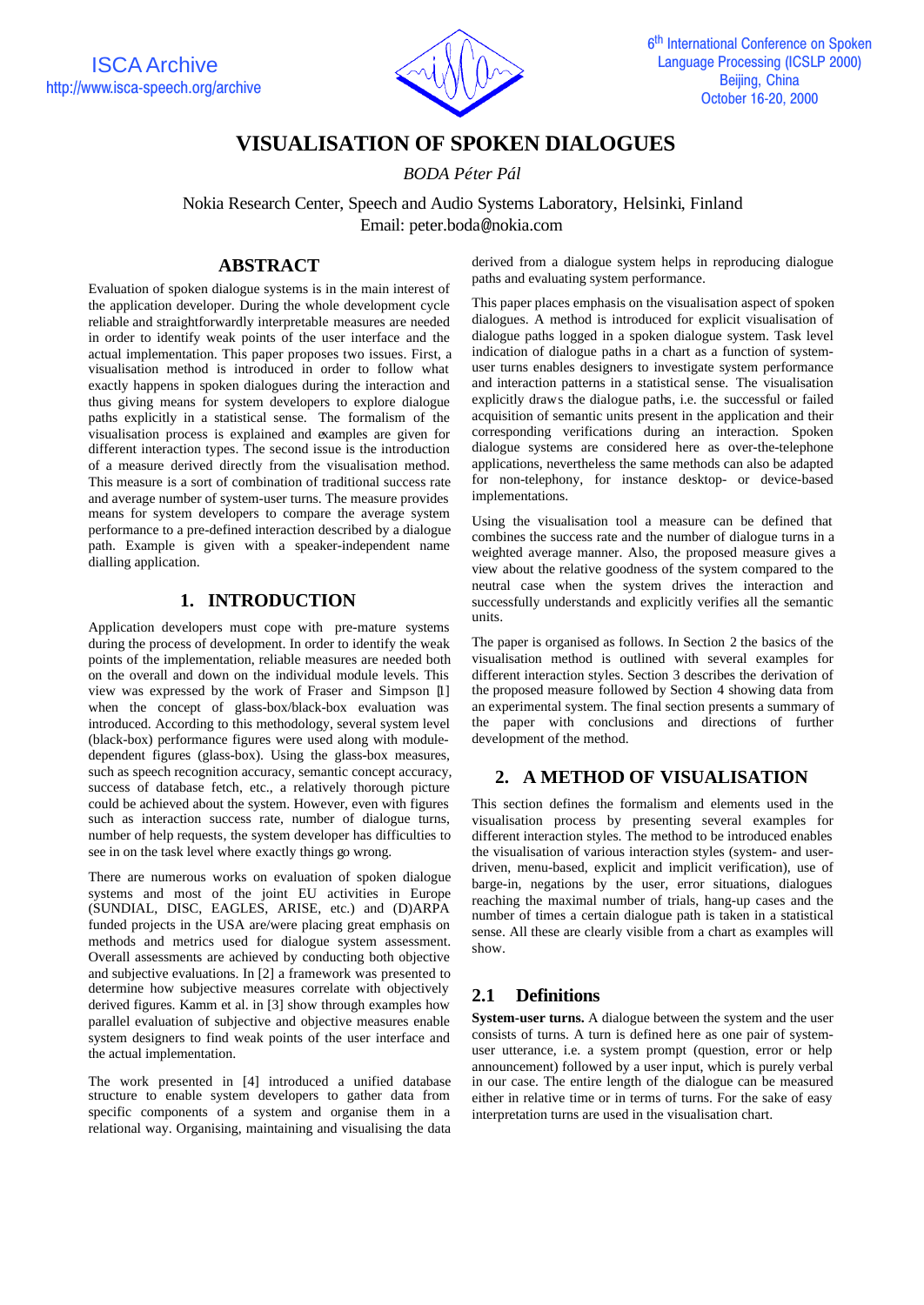

# **VISUALISATION OF SPOKEN DIALOGUES**

*BODA Péter Pál*

Nokia Research Center, Speech and Audio Systems Laboratory, Helsinki, Finland Email: peter.boda@nokia.com

### **ABSTRACT**

Evaluation of spoken dialogue systems is in the main interest of the application developer. During the whole development cycle reliable and straightforwardly interpretable measures are needed in order to identify weak points of the user interface and the actual implementation. This paper proposes two issues. First, a visualisation method is introduced in order to follow what exactly happens in spoken dialogues during the interaction and thus giving means for system developers to explore dialogue paths explicitly in a statistical sense. The formalism of the visualisation process is explained and examples are given for different interaction types. The second issue is the introduction of a measure derived directly from the visualisation method. This measure is a sort of combination of traditional success rate and average number of system-user turns. The measure provides means for system developers to compare the average system performance to a pre-defined interaction described by a dialogue path. Example is given with a speaker-independent name dialling application.

## **1. INTRODUCTION**

Application developers must cope with pre-mature systems during the process of development. In order to identify the weak points of the implementation, reliable measures are needed both on the overall and down on the individual module levels. This view was expressed by the work of Fraser and Simpson [1] when the concept of glass-box/black-box evaluation was introduced. According to this methodology, several system level (black-box) performance figures were used along with moduledependent figures (glass-box). Using the glass-box measures, such as speech recognition accuracy, semantic concept accuracy, success of database fetch, etc., a relatively thorough picture could be achieved about the system. However, even with figures such as interaction success rate, number of dialogue turns, number of help requests, the system developer has difficulties to see in on the task level where exactly things go wrong.

There are numerous works on evaluation of spoken dialogue systems and most of the joint EU activities in Europe (SUNDIAL, DISC, EAGLES, ARISE, etc.) and (D)ARPA funded projects in the USA are/were placing great emphasis on methods and metrics used for dialogue system assessment. Overall assessments are achieved by conducting both objective and subjective evaluations. In [2] a framework was presented to determine how subjective measures correlate with objectively derived figures. Kamm et al. in [3] show through examples how parallel evaluation of subjective and objective measures enable system designers to find weak points of the user interface and the actual implementation.

The work presented in [4] introduced a unified database structure to enable system developers to gather data from specific components of a system and organise them in a relational way. Organising, maintaining and visualising the data derived from a dialogue system helps in reproducing dialogue paths and evaluating system performance.

This paper places emphasis on the visualisation aspect of spoken dialogues. A method is introduced for explicit visualisation of dialogue paths logged in a spoken dialogue system. Task level indication of dialogue paths in a chart as a function of systemuser turns enables designers to investigate system performance and interaction patterns in a statistical sense. The visualisation explicitly draws the dialogue paths, i.e. the successful or failed acquisition of semantic units present in the application and their corresponding verifications during an interaction. Spoken dialogue systems are considered here as over-the-telephone applications, nevertheless the same methods can also be adapted for non-telephony, for instance desktop- or device-based implementations.

Using the visualisation tool a measure can be defined that combines the success rate and the number of dialogue turns in a weighted average manner. Also, the proposed measure gives a view about the relative goodness of the system compared to the neutral case when the system drives the interaction and successfully understands and explicitly verifies all the semantic units.

The paper is organised as follows. In Section 2 the basics of the visualisation method is outlined with several examples for different interaction styles. Section 3 describes the derivation of the proposed measure followed by Section 4 showing data from an experimental system. The final section presents a summary of the paper with conclusions and directions of further development of the method.

## **2. A METHOD OF VISUALISATION**

This section defines the formalism and elements used in the visualisation process by presenting several examples for different interaction styles. The method to be introduced enables the visualisation of various interaction styles (system- and userdriven, menu-based, explicit and implicit verification), use of barge-in, negations by the user, error situations, dialogues reaching the maximal number of trials, hang-up cases and the number of times a certain dialogue path is taken in a statistical sense. All these are clearly visible from a chart as examples will show.

## **2.1 Definitions**

**System-user turns.** A dialogue between the system and the user consists of turns. A turn is defined here as one pair of systemuser utterance, i.e. a system prompt (question, error or help announcement) followed by a user input, which is purely verbal in our case. The entire length of the dialogue can be measured either in relative time or in terms of turns. For the sake of easy interpretation turns are used in the visualisation chart.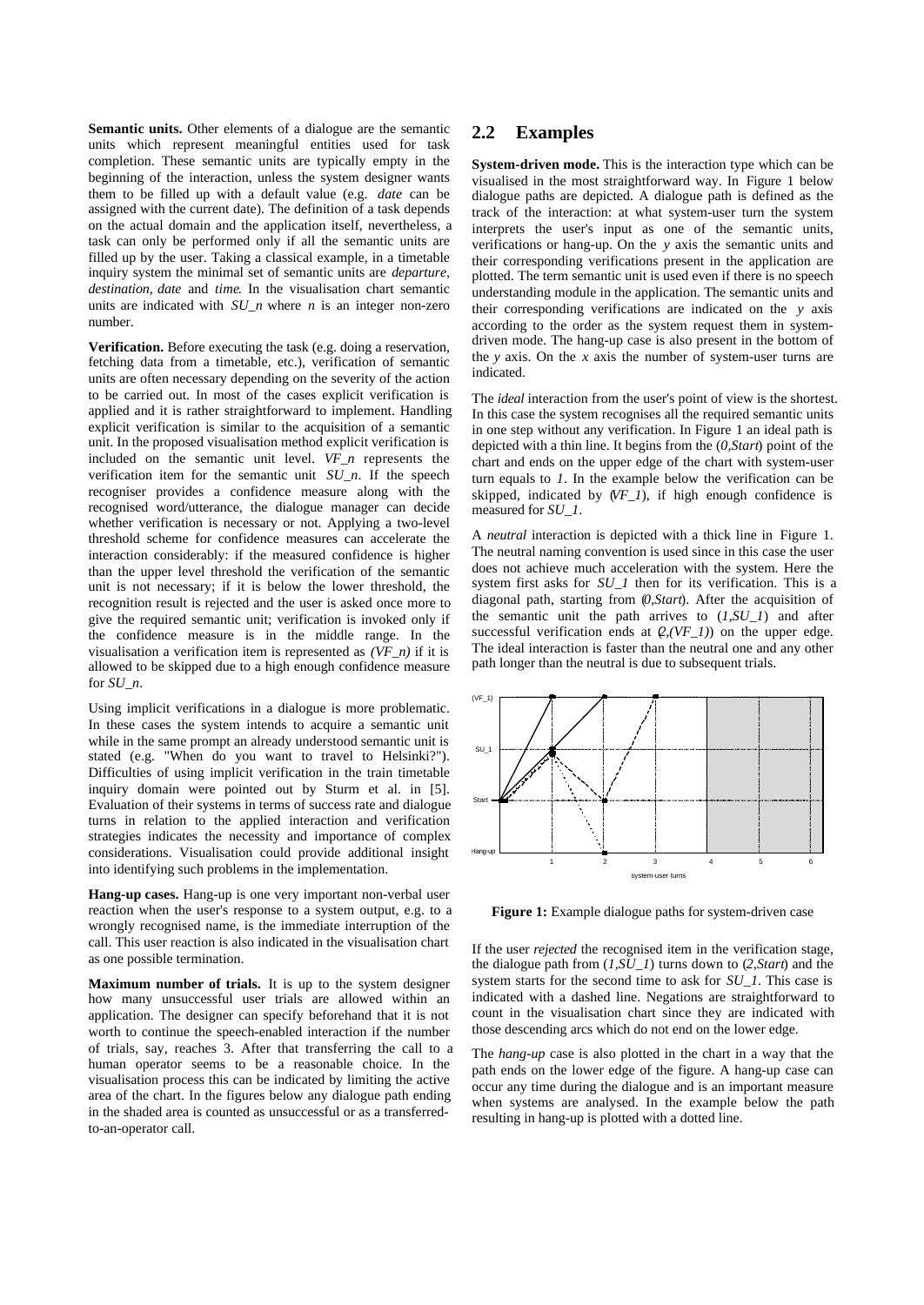**Semantic units.** Other elements of a dialogue are the semantic units which represent meaningful entities used for task completion. These semantic units are typically empty in the beginning of the interaction, unless the system designer wants them to be filled up with a default value (e.g. *date* can be assigned with the current date). The definition of a task depends on the actual domain and the application itself, nevertheless, a task can only be performed only if all the semantic units are filled up by the user. Taking a classical example, in a timetable inquiry system the minimal set of semantic units are *departure, destination, date* and *time*. In the visualisation chart semantic units are indicated with *SU\_n* where *n* is an integer non-zero number.

**Verification.** Before executing the task (e.g. doing a reservation, fetching data from a timetable, etc.), verification of semantic units are often necessary depending on the severity of the action to be carried out. In most of the cases explicit verification is applied and it is rather straightforward to implement. Handling explicit verification is similar to the acquisition of a semantic unit. In the proposed visualisation method explicit verification is included on the semantic unit level. *VF\_n* represents the verification item for the semantic unit *SU\_n*. If the speech recogniser provides a confidence measure along with the recognised word/utterance, the dialogue manager can decide whether verification is necessary or not. Applying a two-level threshold scheme for confidence measures can accelerate the interaction considerably: if the measured confidence is higher than the upper level threshold the verification of the semantic unit is not necessary; if it is below the lower threshold, the recognition result is rejected and the user is asked once more to give the required semantic unit; verification is invoked only if the confidence measure is in the middle range. In the visualisation a verification item is represented as *(VF\_n)* if it is allowed to be skipped due to a high enough confidence measure for *SU\_n*.

Using implicit verifications in a dialogue is more problematic. In these cases the system intends to acquire a semantic unit while in the same prompt an already understood semantic unit is stated (e.g. "When do you want to travel to Helsinki?"). Difficulties of using implicit verification in the train timetable inquiry domain were pointed out by Sturm et al. in [5]. Evaluation of their systems in terms of success rate and dialogue turns in relation to the applied interaction and verification strategies indicates the necessity and importance of complex considerations. Visualisation could provide additional insight into identifying such problems in the implementation.

**Hang-up cases.** Hang-up is one very important non-verbal user reaction when the user's response to a system output, e.g. to a wrongly recognised name, is the immediate interruption of the call. This user reaction is also indicated in the visualisation chart as one possible termination.

**Maximum number of trials.** It is up to the system designer how many unsuccessful user trials are allowed within an application. The designer can specify beforehand that it is not worth to continue the speech-enabled interaction if the number of trials, say, reaches 3. After that transferring the call to a human operator seems to be a reasonable choice. In the visualisation process this can be indicated by limiting the active area of the chart. In the figures below any dialogue path ending in the shaded area is counted as unsuccessful or as a transferredto-an-operator call.

### **2.2 Examples**

**System-driven mode.** This is the interaction type which can be visualised in the most straightforward way. In Figure 1 below dialogue paths are depicted. A dialogue path is defined as the track of the interaction: at what system-user turn the system interprets the user's input as one of the semantic units, verifications or hang-up. On the *y* axis the semantic units and their corresponding verifications present in the application are plotted. The term semantic unit is used even if there is no speech understanding module in the application. The semantic units and their corresponding verifications are indicated on the *y* axis according to the order as the system request them in systemdriven mode. The hang-up case is also present in the bottom of the *y* axis. On the *x* axis the number of system-user turns are indicated.

The *ideal* interaction from the user's point of view is the shortest. In this case the system recognises all the required semantic units in one step without any verification. In Figure 1 an ideal path is depicted with a thin line. It begins from the (*0,Start*) point of the chart and ends on the upper edge of the chart with system-user turn equals to *1*. In the example below the verification can be skipped, indicated by (*VF\_1*), if high enough confidence is measured for *SU\_1*.

A *neutral* interaction is depicted with a thick line in Figure 1. The neutral naming convention is used since in this case the user does not achieve much acceleration with the system. Here the system first asks for *SU\_1* then for its verification. This is a diagonal path, starting from (*0,Start*). After the acquisition of the semantic unit the path arrives to (*1,SU\_1*) and after successful verification ends at  $Q,(VF\_1)$ ) on the upper edge. The ideal interaction is faster than the neutral one and any other path longer than the neutral is due to subsequent trials.



Figure 1: Example dialogue paths for system-driven case

If the user *rejected* the recognised item in the verification stage, the dialogue path from (*1,SU\_1*) turns down to (*2,Start*) and the system starts for the second time to ask for *SU\_1*. This case is indicated with a dashed line. Negations are straightforward to count in the visualisation chart since they are indicated with those descending arcs which do not end on the lower edge.

The *hang-up* case is also plotted in the chart in a way that the path ends on the lower edge of the figure. A hang-up case can occur any time during the dialogue and is an important measure when systems are analysed. In the example below the path resulting in hang-up is plotted with a dotted line.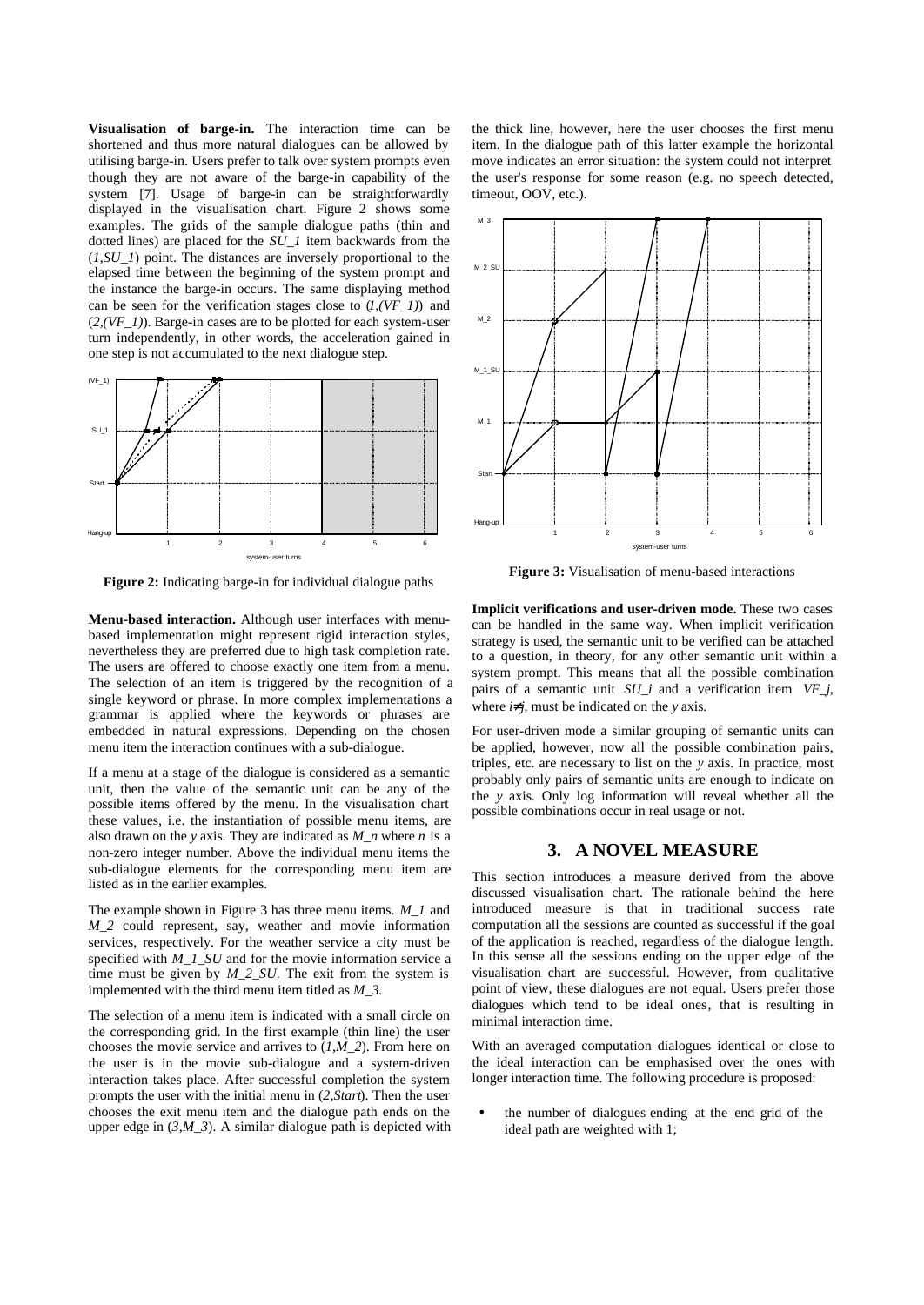**Visualisation of barge-in.** The interaction time can be shortened and thus more natural dialogues can be allowed by utilising barge-in. Users prefer to talk over system prompts even though they are not aware of the barge-in capability of the system [7]. Usage of barge-in can be straightforwardly displayed in the visualisation chart. Figure 2 shows some examples. The grids of the sample dialogue paths (thin and dotted lines) are placed for the *SU\_1* item backwards from the (*1,SU\_1*) point. The distances are inversely proportional to the elapsed time between the beginning of the system prompt and the instance the barge-in occurs. The same displaying method can be seen for the verification stages close to (*1,(VF\_1)*) and  $(2,(VF_1))$ . Barge-in cases are to be plotted for each system-user turn independently, in other words, the acceleration gained in one step is not accumulated to the next dialogue step.



**Figure 2:** Indicating barge-in for individual dialogue paths

**Menu-based interaction.** Although user interfaces with menubased implementation might represent rigid interaction styles, nevertheless they are preferred due to high task completion rate. The users are offered to choose exactly one item from a menu. The selection of an item is triggered by the recognition of a single keyword or phrase. In more complex implementations a grammar is applied where the keywords or phrases are embedded in natural expressions. Depending on the chosen menu item the interaction continues with a sub-dialogue.

If a menu at a stage of the dialogue is considered as a semantic unit, then the value of the semantic unit can be any of the possible items offered by the menu. In the visualisation chart these values, i.e. the instantiation of possible menu items, are also drawn on the *y* axis. They are indicated as *M\_n* where *n* is a non-zero integer number. Above the individual menu items the sub-dialogue elements for the corresponding menu item are listed as in the earlier examples.

The example shown in Figure 3 has three menu items. *M\_1* and *M* 2 could represent, say, weather and movie information services, respectively. For the weather service a city must be specified with *M\_1\_SU* and for the movie information service a time must be given by  $M_2$ <sub>2</sub>*SU*. The exit from the system is implemented with the third menu item titled as *M\_3*.

The selection of a menu item is indicated with a small circle on the corresponding grid. In the first example (thin line) the user chooses the movie service and arrives to (*1,M\_2*). From here on the user is in the movie sub-dialogue and a system-driven interaction takes place. After successful completion the system prompts the user with the initial menu in (*2,Start*). Then the user chooses the exit menu item and the dialogue path ends on the upper edge in  $(3,M_3)$ . A similar dialogue path is depicted with the thick line, however, here the user chooses the first menu item. In the dialogue path of this latter example the horizontal move indicates an error situation: the system could not interpret the user's response for some reason (e.g. no speech detected, timeout, OOV, etc.).



**Figure 3:** Visualisation of menu-based interactions

**Implicit verifications and user-driven mode.** These two cases can be handled in the same way. When implicit verification strategy is used, the semantic unit to be verified can be attached to a question, in theory, for any other semantic unit within a system prompt. This means that all the possible combination pairs of a semantic unit *SU\_i* and a verification item *VF\_j*, where  $i<sup>1</sup>j$ , must be indicated on the *y* axis.

For user-driven mode a similar grouping of semantic units can be applied, however, now all the possible combination pairs, triples, etc. are necessary to list on the *y* axis. In practice, most probably only pairs of semantic units are enough to indicate on the *y* axis. Only log information will reveal whether all the possible combinations occur in real usage or not.

#### **3. A NOVEL MEASURE**

This section introduces a measure derived from the above discussed visualisation chart. The rationale behind the here introduced measure is that in traditional success rate computation all the sessions are counted as successful if the goal of the application is reached, regardless of the dialogue length. In this sense all the sessions ending on the upper edge of the visualisation chart are successful. However, from qualitative point of view, these dialogues are not equal. Users prefer those dialogues which tend to be ideal ones, that is resulting in minimal interaction time.

With an averaged computation dialogues identical or close to the ideal interaction can be emphasised over the ones with longer interaction time. The following procedure is proposed:

• the number of dialogues ending at the end grid of the ideal path are weighted with 1;